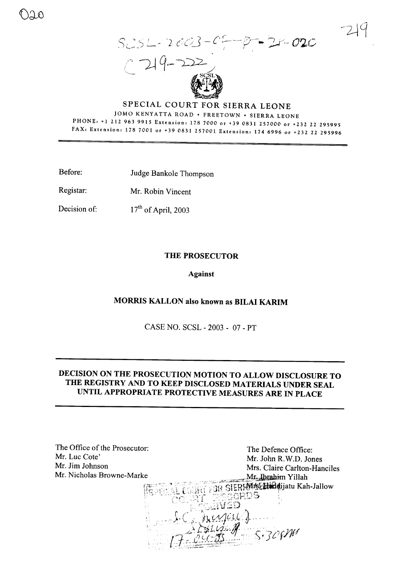



214



## SPECIAL COURT FOR SIERRA LEONE JOMO KENYATTA ROAD . FREETOWN . SIERRA LEONE

PHONE: +1 212 963 9915 Extension: 178 7000 or +39 0831 257000 or +232 22 295995 FAX: Extension: 178 7001 or +39 0831 257001 Extension: 174 6996 or +232 22 295996

Before: Judge Bankole Thompson

Registar: Mr. Robin Vincent

 $17<sup>th</sup>$  of April, 2003 Decision of:

### **THE PROSECUTOR**

#### **Against**

### MORRIS KALLON also known as BILAI KARIM

CASE NO. SCSL - 2003 - 07 - PT

## DECISION ON THE PROSECUTION MOTION TO ALLOW DISCLOSURE TO THE REGISTRY AND TO KEEP DISCLOSED MATERIALS UNDER SEAL UNTIL APPROPRIATE PROTECTIVE MEASURES ARE IN PLACE

| The Office of the Prosecutor: | The Defence Office:                            |
|-------------------------------|------------------------------------------------|
| Mr. Luc Cote'                 | Mr. John R.W.D. Jones                          |
| Mr. Jim Johnson               | Mrs. Claire Carlton-Hanciles                   |
| Mr. Nicholas Browne-Marke     | Mr. Ibrahim Yillah                             |
|                               | ERRMISE Haddijatu Kah-Jallow<br>100RDS<br>OJ W |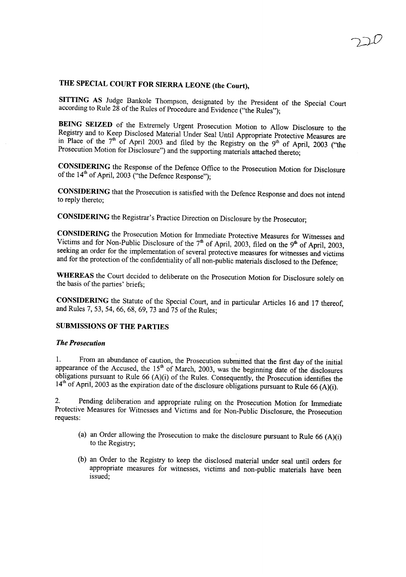# THE SPECIAL COURT FOR SIERRA LEONE (the Court),

SITTING AS Judge Bankole Thompson, designated by the President of the Special Court according to Rule  $28$  of the Rules of Procedure and Evidence ("the Rules");

BEING SEIZED of the Extremely Urgent Prosecution Motion to Allow Disclosure to the Registry and to Keep Disclosed Material Under Seal Until Appropriate Protective Measures are in Place of the  $7<sup>th</sup>$  of April 2003 and filed by the Registry on the  $9<sup>th</sup>$  of April, 2003 ("the Prosecution Motion for Disclosure") and the supporting materials attached thereto;

CONSIDERING the Response of the Defence Office to the Prosecution Motion for Disclosure of the  $14<sup>th</sup>$  of April, 2003 ("the Defence Response");

CONSIDERING that the Prosecution is satisfied with the Defence Response and does not intend to reply thereto;

CONSIDERING the Registrar's Practice Direction on Disclosure by the Prosecutor;

CONSIDERING the Prosecution Motion for Immediate Protective Measures for Witnesses and Victims and for Non-Public Disclosure of the  $7<sup>th</sup>$  of April, 2003, filed on the 9<sup>th</sup> of April, 2003, seeking an order for the implementation of several protective measures for witnesses and victims and for the protection of the confidentiality of all non-public materials disclosed to the Defence;

WHEREAS the Court decided to deliberate on the Prosecution Motion for Disclosure solely on the basis of the parties' briefs;

CONSIDERING the Statute of the Special Court, and in particular Articles 16 and 17 thereof, and Rules 7, 53, 54, 66, 68, 69, 73 and 75 of the Rules;

#### SUBMISSIONS OF THE PARTIES

#### *The Prosecution*

1. From an abundance of caution, the Prosecution submitted that the first day of the initial appearance of the Accused, the  $15<sup>th</sup>$  of March, 2003, was the beginning date of the disclosures obligations pursuant to Rule 66 (A)(i) of the Rules. Consequently, the Prosecution identifies the  $14<sup>th</sup>$  of April, 2003 as the expiration date of the disclosure obligations pursuant to Rule 66 (A)(i).

2. Pending deliberation and appropriate ruling on the Prosecution Motion for Immediate Protective Measures for Witnesses and Victims and for Non-Public Disclosure, the Prosecution requests:

- (a) an Order allowing the Prosecution to make the disclosure pursuant to Rule  $66 (A)(i)$ to the Registry;
- (b) an Order to the Registry to keep the disclosed material under seal until orders for appropriate measures for witnesses, victims and non-public materials have been issued;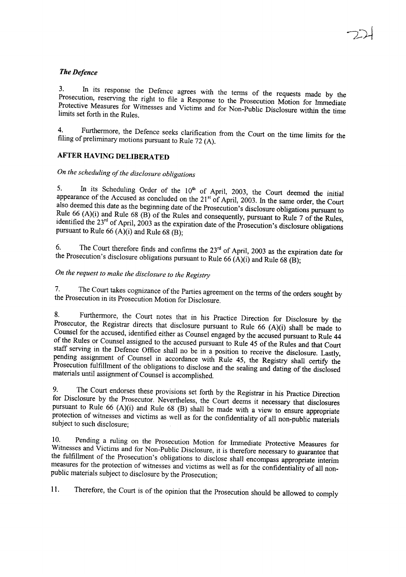#### *The Defence*

3. In its response the Defence agrees with the terms of the requests made by the Prosecution, reserving the right to file a Response to the Prosecution Motion for Immediate Protective Measures for Witnesses and Victims and for Non-Public Disclosure within the time limits set forth in the Rules.

4. Furthermore, the Defence seeks clarification from the Court on the time limits for the filing of preliminary motions pursuant to Rule <sup>72</sup> (A).

### **AFTER HAVING** DELIBERA**TED**

# *On the scheduling ofthe disclosure obligations*

5. In its Scheduling Order of the  $10<sup>th</sup>$  of April, 2003, the Court deemed the initial appearance of the Accused as concluded on the 21<sup>st</sup> of April, 2003. In the same order, the Court also deemed this date as the beginning date of the Prosecution's disclosure obligations pursuant to Rule 66 (A)(i) and Rule 68 (B) of the Rules and consequently, pursuant to Rule 7 of the Rules, identified the  $23<sup>rd</sup>$  of April, 2003 as the expiration date of the Prosecution's disclosure obligations pursuant to Rule 66 (A)(i) and Rule 68 (B);

6. The Court therefore finds and confirms the  $23<sup>rd</sup>$  of April, 2003 as the expiration date for the Prosecution's disclosure obligations pursuant to Rule 66  $(A)(i)$  and Rule 68  $(B)$ ;

*On the request to make the disclosure to the Registry*

7. The Court takes cognizance of the Parties agreement on the terms of the orders sought by the Prosecution in its Prosecution Motion for Disclosure.

8. Furthermore, the Court notes that in his Practice Direction for Disclosure by the Prosecutor, the Registrar directs that disclosure pursuant to Rule <sup>66</sup> (A)(i) shall be made to Counsel for the accused, identified either as Counsel engaged by the accused pursuant to Rule <sup>44</sup> of the Rules or Counsel assigned to the accused pursuant to Rule <sup>45</sup> of the Rules and that Court staff serving in the Defence Office shall no be in a position to receive the disclosure. Lastly, pending assignment of Counsel in accordance with Rule 45, the Registry shall certify the Prosecution fulfillment of the obligations to disclose and the sealing and dating of the disclosed materials until assignment of Counsel is accomplished.

9. The Court endorses these provisions set forth by the Registrar in his Practice Direction for Disclosure by the Prosecutor. Nevertheless, the Court deems it necessary that disclosures pursuant to Rule <sup>66</sup> (A)(i) and Rule <sup>68</sup> (B) shall be made with <sup>a</sup> view to ensure appropriate protection of witnesses and victims as well as for the confidentiality of all non-public materials subject to such disclosure;

Witnesses and Victims and for Non-Public Disclosure, it is therefore necessary to guarantee that 10. Pending <sup>a</sup> ruling on the Prosecution Motion for Immediate Protective Measures for the fulfillment of the Prosecution's obligations to disclose shall encompass appropriate interim measures for the protection of witnesses and victims as well as for the confidentiality of all nonpublic materials subject to disclosure by the Prosecution;

11. Therefore, the Court is of the opinion that the Prosecution should be allowed to comply